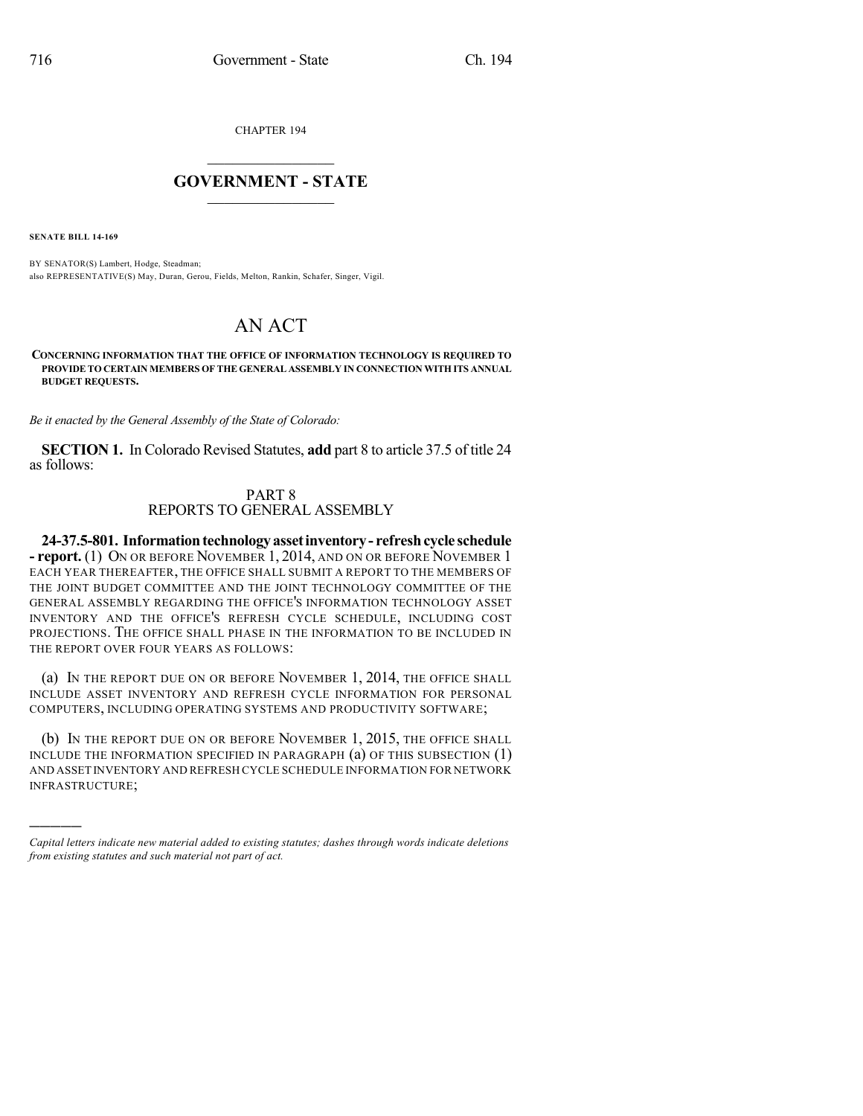CHAPTER 194

## $\overline{\phantom{a}}$  . The set of the set of the set of the set of the set of the set of the set of the set of the set of the set of the set of the set of the set of the set of the set of the set of the set of the set of the set o **GOVERNMENT - STATE**  $\_$

**SENATE BILL 14-169**

)))))

BY SENATOR(S) Lambert, Hodge, Steadman; also REPRESENTATIVE(S) May, Duran, Gerou, Fields, Melton, Rankin, Schafer, Singer, Vigil.

## AN ACT

**CONCERNING INFORMATION THAT THE OFFICE OF INFORMATION TECHNOLOGY IS REQUIRED TO PROVIDE TO CERTAIN MEMBERS OF THE GENERAL ASSEMBLY IN CONNECTION WITH ITS ANNUAL BUDGET REQUESTS.**

*Be it enacted by the General Assembly of the State of Colorado:*

**SECTION 1.** In Colorado Revised Statutes, **add** part 8 to article 37.5 of title 24 as follows:

## PART 8 REPORTS TO GENERAL ASSEMBLY

**24-37.5-801. Informationtechnologyassetinventory- refreshcycle schedule - report.** (1) ON OR BEFORE NOVEMBER 1, 2014, AND ON OR BEFORE NOVEMBER 1 EACH YEAR THEREAFTER, THE OFFICE SHALL SUBMIT A REPORT TO THE MEMBERS OF THE JOINT BUDGET COMMITTEE AND THE JOINT TECHNOLOGY COMMITTEE OF THE GENERAL ASSEMBLY REGARDING THE OFFICE'S INFORMATION TECHNOLOGY ASSET INVENTORY AND THE OFFICE'S REFRESH CYCLE SCHEDULE, INCLUDING COST PROJECTIONS. THE OFFICE SHALL PHASE IN THE INFORMATION TO BE INCLUDED IN THE REPORT OVER FOUR YEARS AS FOLLOWS:

(a) IN THE REPORT DUE ON OR BEFORE NOVEMBER 1, 2014, THE OFFICE SHALL INCLUDE ASSET INVENTORY AND REFRESH CYCLE INFORMATION FOR PERSONAL COMPUTERS, INCLUDING OPERATING SYSTEMS AND PRODUCTIVITY SOFTWARE;

(b) IN THE REPORT DUE ON OR BEFORE NOVEMBER 1, 2015, THE OFFICE SHALL INCLUDE THE INFORMATION SPECIFIED IN PARAGRAPH (a) OF THIS SUBSECTION (1) AND ASSET INVENTORY AND REFRESH CYCLE SCHEDULE INFORMATION FOR NETWORK INFRASTRUCTURE;

*Capital letters indicate new material added to existing statutes; dashes through words indicate deletions from existing statutes and such material not part of act.*